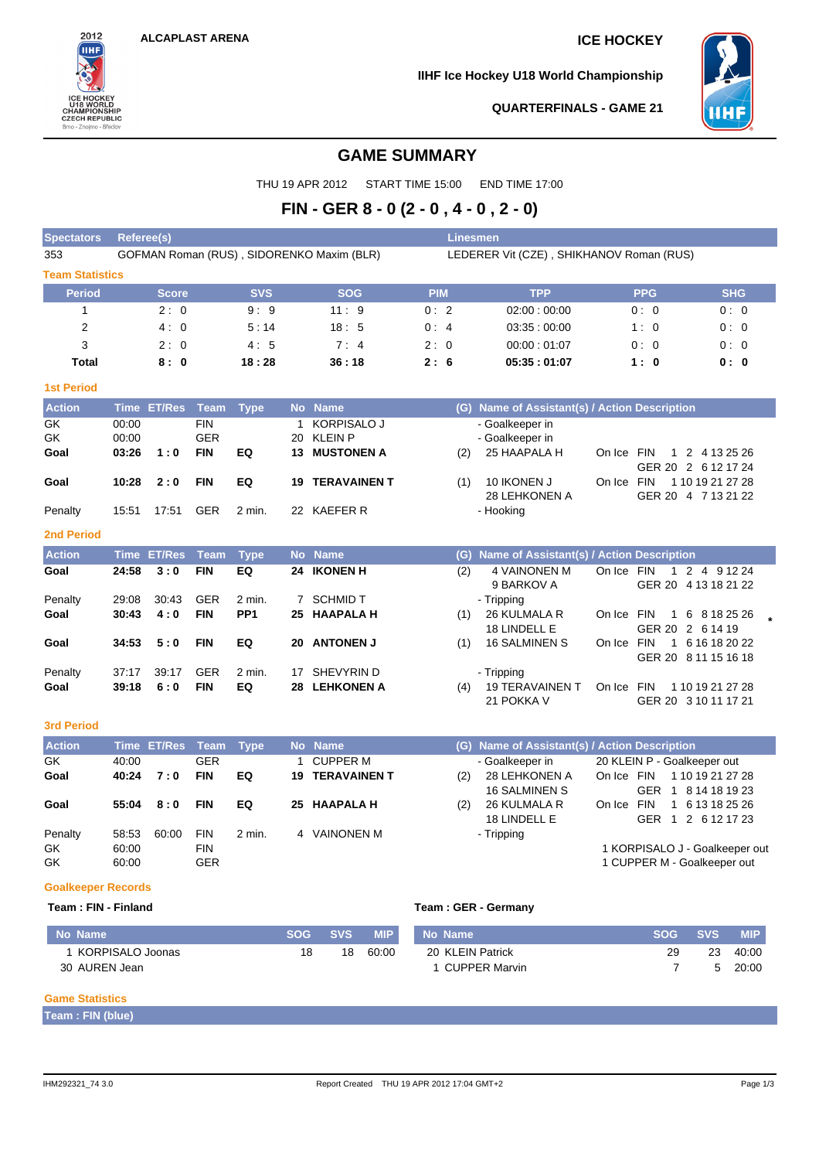

**IIHF Ice Hockey U18 World Championship**



**QUARTERFINALS - GAME 21**

## **GAME SUMMARY**

THU 19 APR 2012 START TIME 15:00 END TIME 17:00

# **FIN - GER 8 - 0 (2 - 0 , 4 - 0 , 2 - 0)**

| <b>Spectators</b>      | Referee(s)                                |                    |                                        |                 |                         |                                                           |                           | <b>Linesmen</b>                          |                                                    |            |                                                               |                  |  |  |  |  |
|------------------------|-------------------------------------------|--------------------|----------------------------------------|-----------------|-------------------------|-----------------------------------------------------------|---------------------------|------------------------------------------|----------------------------------------------------|------------|---------------------------------------------------------------|------------------|--|--|--|--|
| 353                    | GOFMAN Roman (RUS), SIDORENKO Maxim (BLR) |                    |                                        |                 |                         |                                                           |                           | LEDERER Vit (CZE), SHIKHANOV Roman (RUS) |                                                    |            |                                                               |                  |  |  |  |  |
| <b>Team Statistics</b> |                                           |                    |                                        |                 |                         |                                                           |                           |                                          |                                                    |            |                                                               |                  |  |  |  |  |
| <b>Period</b>          |                                           | <b>Score</b>       |                                        | <b>SVS</b>      |                         | <b>SOG</b>                                                | <b>PIM</b>                |                                          | <b>TPP</b>                                         |            | <b>PPG</b>                                                    | <b>SHG</b>       |  |  |  |  |
| $\mathbf{1}$           |                                           | 2:0                |                                        | 9:9             |                         | 11:9                                                      | 0:2                       |                                          | 02:00:00:00                                        |            | 0:0                                                           | 0:0              |  |  |  |  |
| $\overline{2}$         |                                           | 4:0                |                                        | 5:14            |                         | 18:5                                                      | 0:4                       |                                          | 03:35:00:00                                        |            | 1:0                                                           | 0:0              |  |  |  |  |
| 3                      |                                           | 2:0                |                                        | 4:5             |                         | 7:4                                                       | 2:0                       |                                          | 00:00:01:07                                        |            | 0:0                                                           | 0:0              |  |  |  |  |
| <b>Total</b>           |                                           | 8:0                |                                        | 18:28           |                         | 36:18                                                     | 2:6<br>05:35:01:07<br>1:0 |                                          |                                                    |            |                                                               | 0: 0             |  |  |  |  |
| <b>1st Period</b>      |                                           |                    |                                        |                 |                         |                                                           |                           |                                          |                                                    |            |                                                               |                  |  |  |  |  |
| <b>Action</b>          |                                           | Time ET/Res        | <b>Team</b>                            | <b>Type</b>     |                         | No Name                                                   |                           |                                          | (G) Name of Assistant(s) / Action Description      |            |                                                               |                  |  |  |  |  |
| GK<br>GK<br>Goal       | 00:00<br>00:00<br>03:26                   | 1:0                | <b>FIN</b><br><b>GER</b><br><b>FIN</b> | EQ              | $\mathbf 1$<br>20<br>13 | <b>KORPISALO J</b><br><b>KLEIN P</b><br><b>MUSTONEN A</b> |                           | (2)                                      | - Goalkeeper in<br>- Goalkeeper in<br>25 HAAPALA H | On Ice FIN | GER 20 2 6 12 17 24                                           | 1 2 4 13 25 26   |  |  |  |  |
| Goal                   | 10:28                                     | 2:0                | <b>FIN</b>                             | EQ              | 19                      | <b>TERAVAINEN T</b>                                       |                           | (1)                                      | 10 IKONEN J<br>28 LEHKONEN A                       | On Ice FIN | GER 20 4 7 13 21 22                                           | 1 10 19 21 27 28 |  |  |  |  |
| Penalty                | 15:51                                     | 17:51              | <b>GER</b>                             | 2 min.          |                         | 22 KAEFER R                                               |                           |                                          | - Hooking                                          |            |                                                               |                  |  |  |  |  |
| <b>2nd Period</b>      |                                           |                    |                                        |                 |                         |                                                           |                           |                                          |                                                    |            |                                                               |                  |  |  |  |  |
| <b>Action</b>          |                                           | <b>Time ET/Res</b> | <b>Team</b>                            | <b>Type</b>     |                         | No Name                                                   |                           | (G)                                      | Name of Assistant(s) / Action Description          |            |                                                               |                  |  |  |  |  |
| Goal                   | 24:58                                     | 3:0                | <b>FIN</b>                             | EQ              |                         | 24 IKONEN H                                               |                           | (2)                                      | 4 VAINONEN M<br>9 BARKOV A                         | On Ice FIN | GER 20 4 13 18 21 22                                          | 1 2 4 9 12 24    |  |  |  |  |
| Penalty                | 29:08                                     | 30:43              | <b>GER</b>                             | 2 min.          |                         | 7 SCHMID T                                                |                           |                                          | - Tripping                                         |            |                                                               |                  |  |  |  |  |
| Goal                   | 30:43                                     | 4:0                | <b>FIN</b>                             | PP <sub>1</sub> | 25                      | <b>HAAPALA H</b>                                          |                           | (1)                                      | 26 KULMALA R<br>18 LINDELL E                       | On Ice FIN | $\mathbf{1}$<br>GER 20 2 6 14 19                              | 6 8 18 25 26     |  |  |  |  |
| Goal                   | 34:53                                     | 5:0                | <b>FIN</b>                             | EQ              |                         | 20 ANTONEN J                                              |                           | (1)                                      | 16 SALMINEN S                                      | On Ice FIN | GER 20 8 11 15 16 18                                          | 1 6 16 18 20 22  |  |  |  |  |
| Penalty                | 37:17                                     | 39:17              | <b>GER</b>                             | 2 min.          | 17                      | SHEVYRIN D                                                |                           |                                          | - Tripping                                         |            |                                                               |                  |  |  |  |  |
| Goal                   | 39:18                                     | 6:0                | <b>FIN</b>                             | EQ              | 28                      | <b>LEHKONEN A</b>                                         |                           | (4)                                      | <b>19 TERAVAINEN T</b><br>21 POKKA V               | On Ice FIN | GER 20 3 10 11 17 21                                          | 1 10 19 21 27 28 |  |  |  |  |
| <b>3rd Period</b>      |                                           |                    |                                        |                 |                         |                                                           |                           |                                          |                                                    |            |                                                               |                  |  |  |  |  |
| <b>Action</b>          |                                           | Time ET/Res        | <b>Team</b>                            | <b>Type</b>     |                         | No Name                                                   |                           |                                          | (G) Name of Assistant(s) / Action Description      |            |                                                               |                  |  |  |  |  |
| GK                     | 40:00                                     |                    | <b>GER</b>                             |                 | 1                       | <b>CUPPER M</b>                                           |                           |                                          | - Goalkeeper in                                    |            | 20 KLEIN P - Goalkeeper out                                   |                  |  |  |  |  |
| Goal                   | 40:24                                     | 7:0                | <b>FIN</b>                             | EQ              | 19                      | <b>TERAVAINEN T</b>                                       |                           | (2)                                      | 28 LEHKONEN A<br><b>16 SALMINEN S</b>              | On Ice FIN | GER 1 8 14 18 19 23                                           | 1 10 19 21 27 28 |  |  |  |  |
| Goal                   | 55:04                                     | 8:0                | <b>FIN</b>                             | EQ              |                         | 25 HAAPALA H                                              |                           | (2)                                      | 26 KULMALA R<br>18 LINDELL E                       | On Ice FIN | GER 1 2 6 12 17 23                                            | 1 6 13 18 25 26  |  |  |  |  |
| Penalty<br>GK<br>GK    | 58.53<br>60:00<br>60:00                   | 60:00              | <b>FIN</b><br><b>FIN</b><br><b>GER</b> | 2 min.          |                         | 4 VAINONEN M                                              |                           |                                          | - Tripping                                         |            | 1 KORPISALO J - Goalkeeper out<br>1 CUPPER M - Goalkeeper out |                  |  |  |  |  |

## **Goalkeeper Records**

#### **Team : FIN - Finland Team : GER - Germany**

| No Name          | <b>SOG</b> | <b>SVS</b> | <b>MIP</b> | No Name          | <b>SOG</b> | <b>SVS</b> | <b>MIP</b> |
|------------------|------------|------------|------------|------------------|------------|------------|------------|
| KORPISALO Joonas | 18         | 18         | 60:00      | 20 KLEIN Patrick | 29         | 23         | 40:00      |
| 30 AUREN Jean    |            |            |            | CUPPER Marvin    |            |            | 20:00      |
|                  |            |            |            |                  |            |            |            |

## **Game Statistics**

**Team : FIN (blue)**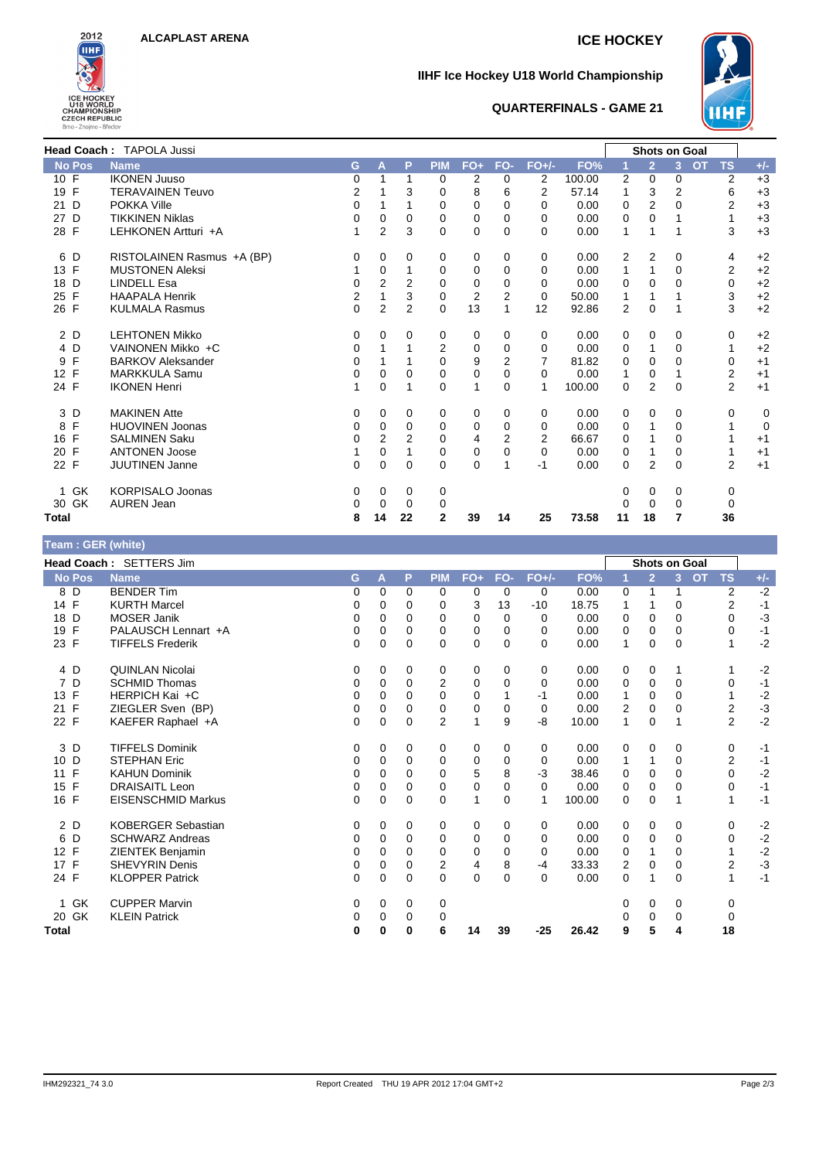

### **IIHF Ice Hockey U18 World Championship**



## **QUARTERFINALS - GAME 21**

|                      | <b>Head Coach: TAPOLA Jussi</b> |                |                |                |                |                |                |                |        |                | <b>Shots on Goal</b> |                |           |                |       |
|----------------------|---------------------------------|----------------|----------------|----------------|----------------|----------------|----------------|----------------|--------|----------------|----------------------|----------------|-----------|----------------|-------|
| <b>No Pos</b>        | <b>Name</b>                     | G              | A              | P              | <b>PIM</b>     | $FO+$          | FO-            | $FO+/-$        | FO%    |                | $\overline{2}$       | 3              | <b>OT</b> | <b>TS</b>      | $+/-$ |
| 10 F                 | <b>IKONEN Juuso</b>             | 0              |                | 1              | 0              | 2              | 0              | 2              | 100.00 | 2              | 0                    | 0              |           | 2              | $+3$  |
| 19 F                 | <b>TERAVAINEN Teuvo</b>         | $\overline{2}$ |                | 3              | 0              | 8              | 6              | 2              | 57.14  | 1              | 3                    | $\overline{2}$ |           | 6              | $+3$  |
| D<br>21              | POKKA Ville                     | 0              |                |                | 0              | 0              | 0              | 0              | 0.00   | 0              | 2                    | 0              |           | 2              | $+3$  |
| 27 D                 | <b>TIKKINEN Niklas</b>          | 0              | 0              | 0              | 0              | 0              | 0              | 0              | 0.00   | 0              | 0                    |                |           |                | $+3$  |
| 28 F                 | LEHKONEN Artturi +A             | 1              | 2              | 3              | 0              | 0              | $\Omega$       | $\Omega$       | 0.00   | 1              |                      |                |           | 3              | $+3$  |
| 6 D                  | RISTOLAINEN Rasmus +A (BP)      | 0              | 0              | 0              | 0              | 0              | 0              | 0              | 0.00   | $\overline{2}$ | $\overline{2}$       | 0              |           | 4              | $+2$  |
| 13 F                 | <b>MUSTONEN Aleksi</b>          | 1              | 0              | 1              | 0              | 0              | 0              | 0              | 0.00   | 1              | 1                    | $\Omega$       |           | 2              | $+2$  |
| D<br>18              | <b>LINDELL Esa</b>              | 0              | 2              | 2              | 0              | 0              | 0              | 0              | 0.00   | 0              | 0                    | $\Omega$       |           | 0              | $+2$  |
| F<br>25              | <b>HAAPALA Henrik</b>           | 2              |                | 3              | $\mathbf 0$    | $\overline{2}$ | 2              | $\Omega$       | 50.00  | 1              |                      |                |           | 3              | $+2$  |
| 26 F                 | <b>KULMALA Rasmus</b>           | $\overline{0}$ | $\overline{2}$ | $\overline{2}$ | $\Omega$       | 13             | 1              | 12             | 92.86  | 2              | $\mathbf 0$          |                |           | 3              | $+2$  |
| 2 D                  | <b>LEHTONEN Mikko</b>           | 0              | $\Omega$       | 0              | 0              | 0              | 0              | 0              | 0.00   | 0              | 0                    | 0              |           | 0              | $+2$  |
| 4 D                  | VAINONEN Mikko +C               | 0              |                | 1              | $\overline{2}$ | 0              | $\Omega$       | 0              | 0.00   | 0              | 1                    | $\Omega$       |           | 1              | $+2$  |
| F<br>9               | <b>BARKOV Aleksander</b>        | 0              |                |                | 0              | 9              | $\overline{2}$ | 7              | 81.82  | 0              | 0                    | 0              |           | 0              | $+1$  |
| F<br>12 <sup>°</sup> | <b>MARKKULA Samu</b>            | 0              | 0              | 0              | 0              | 0              | $\Omega$       | 0              | 0.00   | 1              | 0                    | 1              |           | 2              | $+1$  |
| 24 F                 | <b>IKONEN Henri</b>             | 1              | 0              | 1              | 0              | 1              | 0              | 1              | 100.00 | 0              | $\overline{2}$       | 0              |           | $\overline{2}$ | $+1$  |
| 3 D                  | <b>MAKINEN Atte</b>             | 0              | 0              | 0              | 0              | 0              | 0              | 0              | 0.00   | 0              | 0                    | 0              |           | 0              | 0     |
| F<br>8               | <b>HUOVINEN Joonas</b>          | 0              | $\Omega$       | 0              | 0              | 0              | 0              | 0              | 0.00   | 0              |                      | $\Omega$       |           |                | 0     |
| F<br>16              | <b>SALMINEN Saku</b>            | 0              | 2              | 2              | 0              | 4              | $\overline{2}$ | $\overline{2}$ | 66.67  | 0              |                      | 0              |           | 1              | $+1$  |
| 20 F                 | <b>ANTONEN Joose</b>            | 1              | $\Omega$       |                | 0              | 0              | 0              | 0              | 0.00   | 0              |                      | 0              |           |                | $+1$  |
| 22 F                 | <b>JUUTINEN Janne</b>           | 0              | 0              | 0              | $\Omega$       | $\Omega$       | 1              | $-1$           | 0.00   | $\Omega$       | $\overline{2}$       | 0              |           | 2              | $+1$  |
| GK<br>$\mathbf{1}$   | <b>KORPISALO Joonas</b>         | 0              | 0              | 0              | 0              |                |                |                |        | 0              | 0                    | 0              |           | 0              |       |
| 30 GK                | <b>AUREN Jean</b>               | 0              | 0              | 0              | 0              |                |                |                |        |                | 0                    | $\Omega$       |           | 0              |       |
| <b>Total</b>         |                                 | 8              | 14             | 22             | $\overline{2}$ | 39             | 14             | 25             | 73.58  | 11             | 18                   | 7              |           | 36             |       |

### **Team : GER (white) Head Coach :** SETTERS Jim **Shots on Goal No Pos Name G A P PIM FO+ FO- FO+/- FO% 1 2 3 OT TS +/-** 8 D BENDER Tim 0 0 0 0 0 0 0 0.00 0 1 1 2 -2 14 F KURTH Marcel 0 0 0 0 3 13 -10 18.75 1 1 0 2 -1 18 D MOSER Janik 0 0 0 0 0 0 0 0.00 0 0 0 0 -3 19 F PALAUSCH Lennart +A 0 0 0 0 0 0 0 0.00 0 0 0 0 -1 23 F TIFFELS Frederik 0 0 0 0 0 0 0 0.00 1 0 0 1 -2 4 D QUINLAN Nicolai 0 0 0 0 0 0 0 0.00 0 0 1 1 -2 7 D SCHMID Thomas 0 0 0 2 0 0 0 0.00 0 0 0 0 -1 13 F HERPICH Kai +C 0 0 0 0 0 1 -1 0.00 1 0 0 1 -2 21 F ZIEGLER Sven (BP) 0 0 0 0 0 0 0 0 0 0 0 0 0 0 2 0 0 2<br>22 F KAEFER Raphael +A 0 0 0 0 2 1 9 -8 10.00 1 0 1 2 KAEFER Raphael +A <br>
0 0 0 0 2 1 9 -8 10.00 1 0 1 2 -2 3 D TIFFELS Dominik 0 0 0 0 0 0 0 0.00 0 0 0 0 -1 10 D STEPHAN Eric 0 0 0 0 0 0 0 0.00 1 1 0 2 -1 11 F KAHUN Dominik 0 0 0 0 5 8 -3 38.46 0 0 0 0 -2 15 F DRAISAITL Leon 0 0 0 0 0 0 0 0.00 0 0 0 0 -1 16 F EISENSCHMID Markus 0 0 0 0 1 0 1 100.00 0 0 1 1 -1 2 D KOBERGER Sebastian 0 0 0 0 0 0 0 0.00 0 0 0 0 -2 6 D SCHWARZ Andreas 0 0 0 0 0 0 0 0.00 0 0 0 0 -2 12 F ZIENTEK Benjamin and the control of 0 0 0 0 0 0 0 0 0 0 0 0 0 0 0 1 0 1 1<br>17 F SHEVYRIN Denis 0 0 0 0 2 4 8 -4 33.33 2 0 0 2 17 F SHEVYRIN Denis 0 0 0 2 4 8 -4 33.33 2 0 0 2 -3 24 F KLOPPER Patrick 0 0 0 0 0 0 0 0.00 0 1 0 1 -1 1 GK CUPPER Marvin 0 0 0 0 0 0 0 0 20 GK KLEIN Patrick 0 0 0 0 0 0 0 0 **Total 0 0 0 6 14 39 -25 26.42 9 5 4 18**